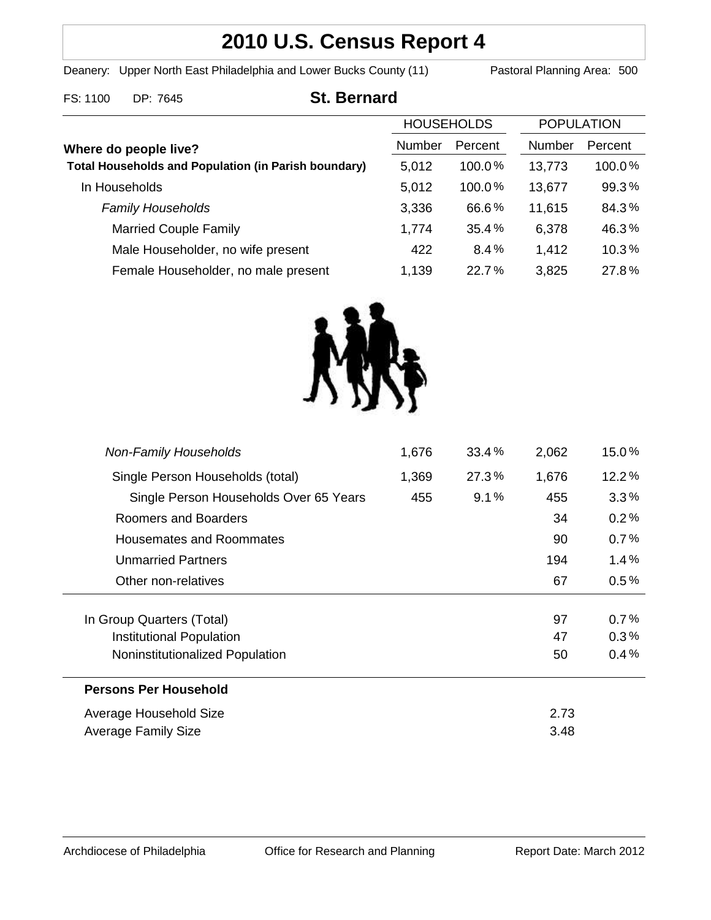# **2010 U.S. Census Report 4**

Deanery: Upper North East Philadelphia and Lower Bucks County (11) Pastoral Planning Area: 500

# FS: 1100 DP: 7645 **St. Bernard**

|                                                             | <b>HOUSEHOLDS</b> |           | <b>POPULATION</b> |           |
|-------------------------------------------------------------|-------------------|-----------|-------------------|-----------|
| Where do people live?                                       | Number            | Percent   | Number            | Percent   |
| <b>Total Households and Population (in Parish boundary)</b> | 5,012             | $100.0\%$ | 13,773            | $100.0\%$ |
| In Households                                               | 5,012             | 100.0%    | 13,677            | 99.3%     |
| <b>Family Households</b>                                    | 3,336             | 66.6%     | 11,615            | 84.3%     |
| <b>Married Couple Family</b>                                | 1,774             | 35.4%     | 6,378             | 46.3%     |
| Male Householder, no wife present                           | 422               | 8.4%      | 1,412             | 10.3%     |
| Female Householder, no male present                         | 1,139             | $22.7\%$  | 3,825             | 27.8%     |



| <b>Unmarried Partners</b>       |  | 194  | 1.4%    |
|---------------------------------|--|------|---------|
| Other non-relatives             |  | 67   | $0.5\%$ |
| In Group Quarters (Total)       |  | 97   | 0.7%    |
| Institutional Population        |  | 47   | 0.3%    |
| Noninstitutionalized Population |  | 50   | 0.4%    |
| <b>Persons Per Household</b>    |  |      |         |
| Average Household Size          |  | 2.73 |         |
| <b>Average Family Size</b>      |  | 3.48 |         |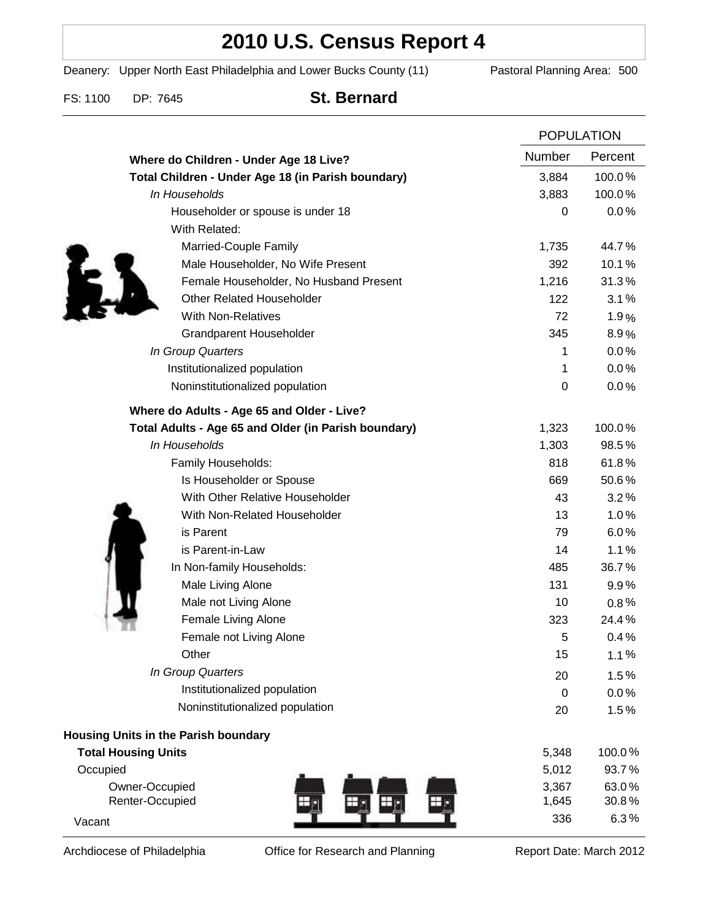# **2010 U.S. Census Report 4**

Deanery: Upper North East Philadelphia and Lower Bucks County (11) Pastoral Planning Area: 500

FS: 1100 DP: 7645 **St. Bernard**

|                                                      |                  | <b>POPULATION</b> |  |
|------------------------------------------------------|------------------|-------------------|--|
| Where do Children - Under Age 18 Live?               | Number           | Percent           |  |
| Total Children - Under Age 18 (in Parish boundary)   | 3,884            | 100.0%            |  |
| In Households                                        | 3,883            | 100.0%            |  |
| Householder or spouse is under 18                    | 0                | 0.0%              |  |
| With Related:                                        |                  |                   |  |
| Married-Couple Family                                | 1,735            | 44.7%             |  |
| Male Householder, No Wife Present                    | 392              | 10.1%             |  |
| Female Householder, No Husband Present               | 1,216            | 31.3%             |  |
| <b>Other Related Householder</b>                     | 122              | 3.1%              |  |
| <b>With Non-Relatives</b>                            | 72               | 1.9%              |  |
| <b>Grandparent Householder</b>                       | 345              | 8.9%              |  |
| In Group Quarters                                    | 1                | 0.0%              |  |
| Institutionalized population                         | 1                | 0.0%              |  |
| Noninstitutionalized population                      | $\boldsymbol{0}$ | 0.0%              |  |
| Where do Adults - Age 65 and Older - Live?           |                  |                   |  |
| Total Adults - Age 65 and Older (in Parish boundary) | 1,323            | 100.0%            |  |
| In Households                                        | 1,303            | 98.5%             |  |
| Family Households:                                   | 818              | 61.8%             |  |
| Is Householder or Spouse                             | 669              | 50.6%             |  |
| With Other Relative Householder                      | 43               | 3.2%              |  |
| With Non-Related Householder                         | 13               | 1.0%              |  |
| is Parent                                            | 79               | 6.0%              |  |
| is Parent-in-Law                                     | 14               | 1.1%              |  |
| In Non-family Households:                            | 485              | 36.7%             |  |
| Male Living Alone                                    | 131              | 9.9%              |  |
| Male not Living Alone                                | 10               | $0.8\%$           |  |
| Female Living Alone                                  | 323              | 24.4%             |  |
| Female not Living Alone                              | 5                | 0.4%              |  |
| Other                                                | 15               | 1.1%              |  |
| In Group Quarters                                    | 20               | 1.5%              |  |
| Institutionalized population                         | $\mathbf 0$      | 0.0%              |  |
| Noninstitutionalized population                      | 20               | 1.5%              |  |
| Housing Units in the Parish boundary                 |                  |                   |  |
| <b>Total Housing Units</b>                           | 5,348            | 100.0%            |  |
| Occupied                                             | 5,012            | 93.7%             |  |
| Owner-Occupied                                       | 3,367            | 63.0%             |  |
| Renter-Occupied                                      | 1,645            | 30.8%             |  |
| Vacant                                               | 336              | 6.3%              |  |

Archdiocese of Philadelphia **Office for Research and Planning** Report Date: March 2012